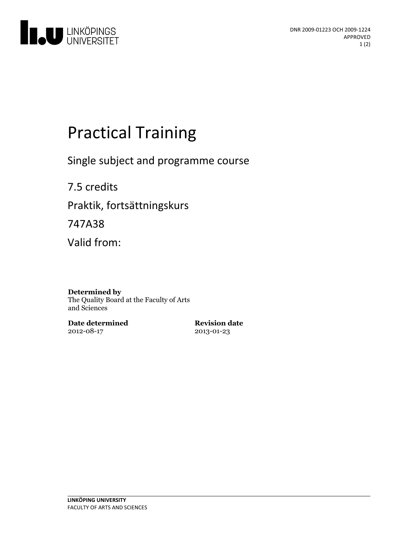

# **Practical Training**

Single subject and programme course

7.5 credits Praktik, fortsättningskurs 747A38 Valid from:

#### **Determined by**

The Quality Board at the Faculty of Arts and Sciences

**Date determined** 2012-08-17

**Revision date** 2013-01-23